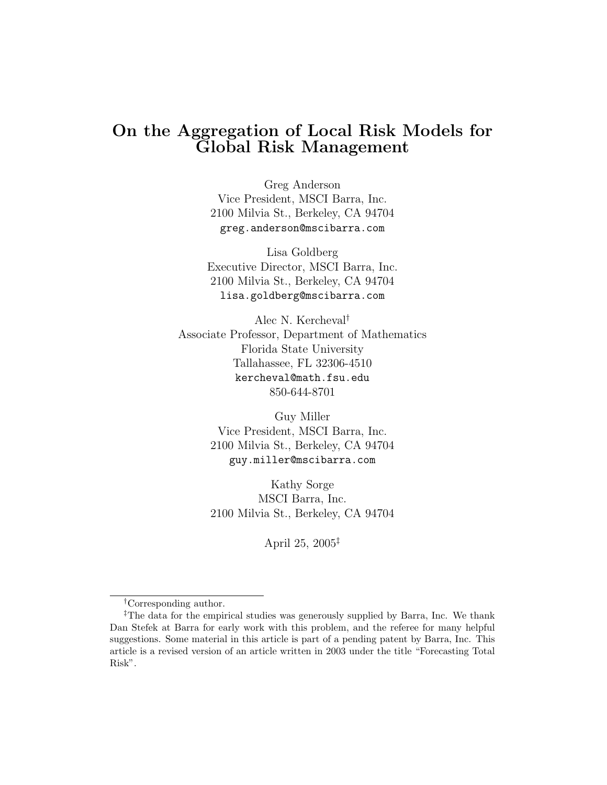# On the Aggregation of Local Risk Models for Global Risk Management

Greg Anderson Vice President, MSCI Barra, Inc. 2100 Milvia St., Berkeley, CA 94704 greg.anderson@mscibarra.com

Lisa Goldberg Executive Director, MSCI Barra, Inc. 2100 Milvia St., Berkeley, CA 94704 lisa.goldberg@mscibarra.com

Alec N. Kercheval† Associate Professor, Department of Mathematics Florida State University Tallahassee, FL 32306-4510 kercheval@math.fsu.edu 850-644-8701

> Guy Miller Vice President, MSCI Barra, Inc. 2100 Milvia St., Berkeley, CA 94704 guy.miller@mscibarra.com

> Kathy Sorge MSCI Barra, Inc. 2100 Milvia St., Berkeley, CA 94704

> > April 25, 2005‡

<sup>†</sup>Corresponding author.

<sup>‡</sup>The data for the empirical studies was generously supplied by Barra, Inc. We thank Dan Stefek at Barra for early work with this problem, and the referee for many helpful suggestions. Some material in this article is part of a pending patent by Barra, Inc. This article is a revised version of an article written in 2003 under the title "Forecasting Total Risk".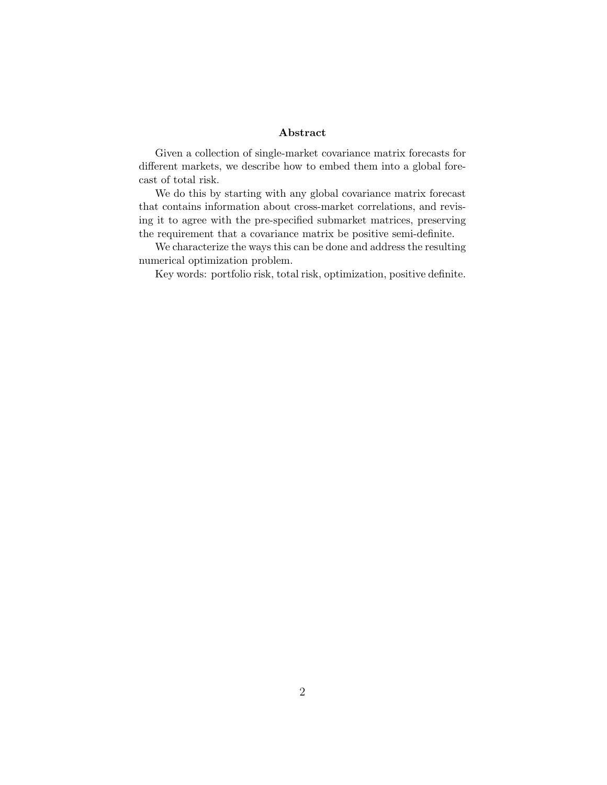#### Abstract

Given a collection of single-market covariance matrix forecasts for different markets, we describe how to embed them into a global forecast of total risk.

We do this by starting with any global covariance matrix forecast that contains information about cross-market correlations, and revising it to agree with the pre-specified submarket matrices, preserving the requirement that a covariance matrix be positive semi-definite.

We characterize the ways this can be done and address the resulting numerical optimization problem.

Key words: portfolio risk, total risk, optimization, positive definite.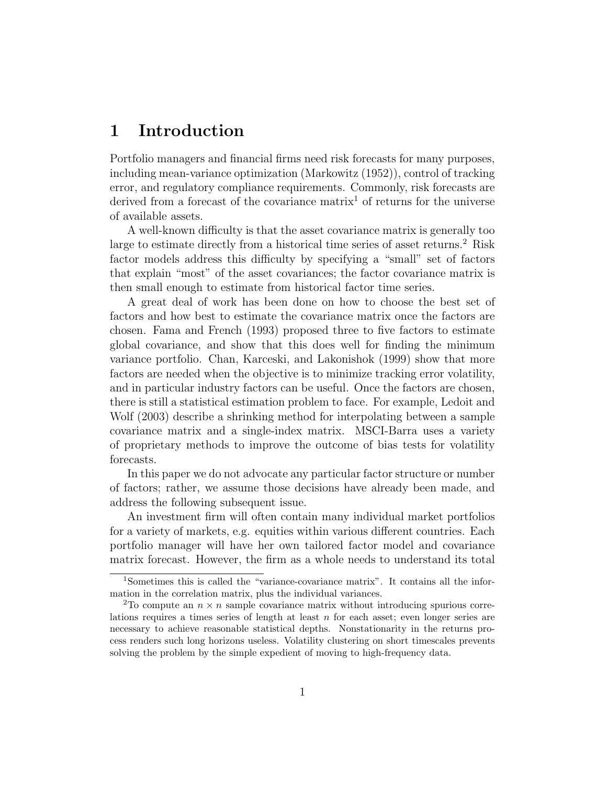## 1 Introduction

Portfolio managers and financial firms need risk forecasts for many purposes, including mean-variance optimization (Markowitz (1952)), control of tracking error, and regulatory compliance requirements. Commonly, risk forecasts are derived from a forecast of the covariance matrix<sup>1</sup> of returns for the universe of available assets.

A well-known difficulty is that the asset covariance matrix is generally too large to estimate directly from a historical time series of asset returns.<sup>2</sup> Risk factor models address this difficulty by specifying a "small" set of factors that explain "most" of the asset covariances; the factor covariance matrix is then small enough to estimate from historical factor time series.

A great deal of work has been done on how to choose the best set of factors and how best to estimate the covariance matrix once the factors are chosen. Fama and French (1993) proposed three to five factors to estimate global covariance, and show that this does well for finding the minimum variance portfolio. Chan, Karceski, and Lakonishok (1999) show that more factors are needed when the objective is to minimize tracking error volatility, and in particular industry factors can be useful. Once the factors are chosen, there is still a statistical estimation problem to face. For example, Ledoit and Wolf (2003) describe a shrinking method for interpolating between a sample covariance matrix and a single-index matrix. MSCI-Barra uses a variety of proprietary methods to improve the outcome of bias tests for volatility forecasts.

In this paper we do not advocate any particular factor structure or number of factors; rather, we assume those decisions have already been made, and address the following subsequent issue.

An investment firm will often contain many individual market portfolios for a variety of markets, e.g. equities within various different countries. Each portfolio manager will have her own tailored factor model and covariance matrix forecast. However, the firm as a whole needs to understand its total

<sup>1</sup>Sometimes this is called the "variance-covariance matrix". It contains all the information in the correlation matrix, plus the individual variances.

<sup>&</sup>lt;sup>2</sup>To compute an  $n \times n$  sample covariance matrix without introducing spurious correlations requires a times series of length at least  $n$  for each asset; even longer series are necessary to achieve reasonable statistical depths. Nonstationarity in the returns process renders such long horizons useless. Volatility clustering on short timescales prevents solving the problem by the simple expedient of moving to high-frequency data.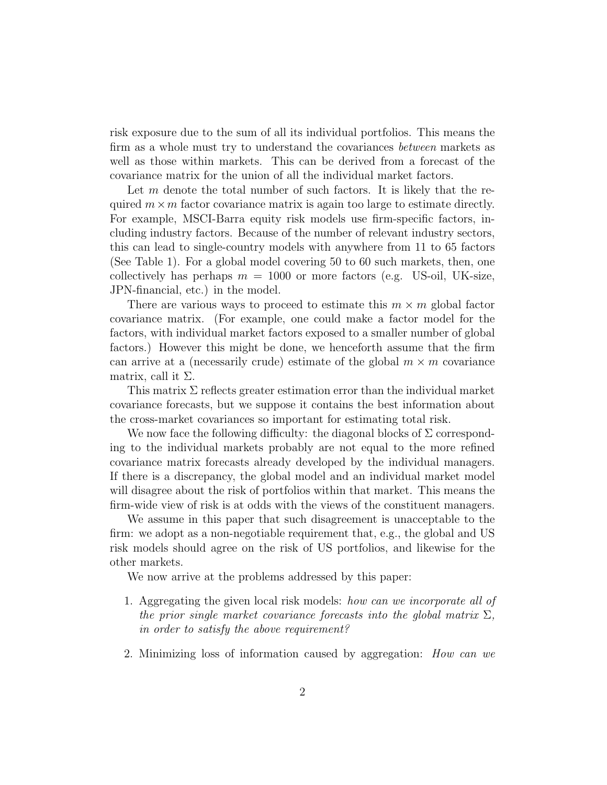risk exposure due to the sum of all its individual portfolios. This means the firm as a whole must try to understand the covariances *between* markets as well as those within markets. This can be derived from a forecast of the covariance matrix for the union of all the individual market factors.

Let  $m$  denote the total number of such factors. It is likely that the required  $m \times m$  factor covariance matrix is again too large to estimate directly. For example, MSCI-Barra equity risk models use firm-specific factors, including industry factors. Because of the number of relevant industry sectors, this can lead to single-country models with anywhere from 11 to 65 factors (See Table 1). For a global model covering 50 to 60 such markets, then, one collectively has perhaps  $m = 1000$  or more factors (e.g. US-oil, UK-size, JPN-financial, etc.) in the model.

There are various ways to proceed to estimate this  $m \times m$  global factor covariance matrix. (For example, one could make a factor model for the factors, with individual market factors exposed to a smaller number of global factors.) However this might be done, we henceforth assume that the firm can arrive at a (necessarily crude) estimate of the global  $m \times m$  covariance matrix, call it  $\Sigma$ .

This matrix  $\Sigma$  reflects greater estimation error than the individual market covariance forecasts, but we suppose it contains the best information about the cross-market covariances so important for estimating total risk.

We now face the following difficulty: the diagonal blocks of  $\Sigma$  corresponding to the individual markets probably are not equal to the more refined covariance matrix forecasts already developed by the individual managers. If there is a discrepancy, the global model and an individual market model will disagree about the risk of portfolios within that market. This means the firm-wide view of risk is at odds with the views of the constituent managers.

We assume in this paper that such disagreement is unacceptable to the firm: we adopt as a non-negotiable requirement that, e.g., the global and US risk models should agree on the risk of US portfolios, and likewise for the other markets.

We now arrive at the problems addressed by this paper:

- 1. Aggregating the given local risk models: how can we incorporate all of the prior single market covariance forecasts into the global matrix  $\Sigma$ , in order to satisfy the above requirement?
- 2. Minimizing loss of information caused by aggregation: How can we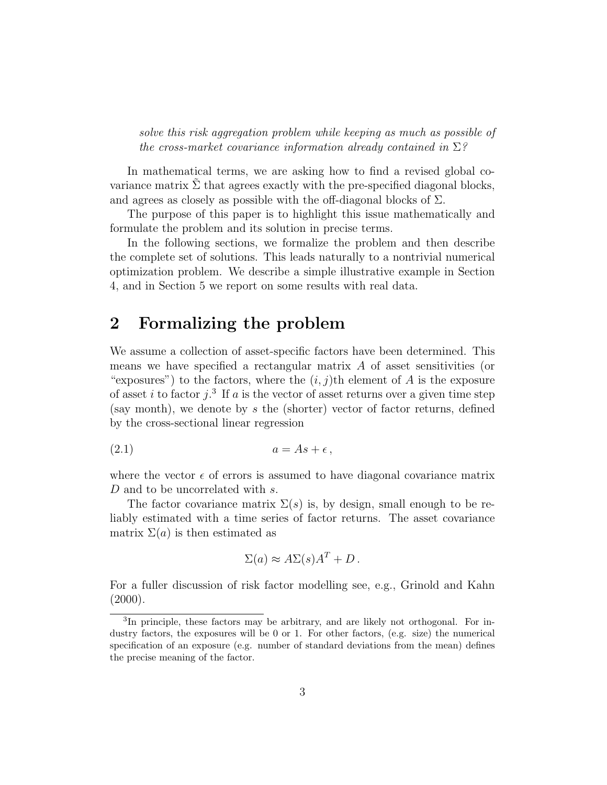solve this risk aggregation problem while keeping as much as possible of the cross-market covariance information already contained in  $\Sigma$ ?

In mathematical terms, we are asking how to find a revised global covariance matrix  $\Sigma$  that agrees exactly with the pre-specified diagonal blocks, and agrees as closely as possible with the off-diagonal blocks of  $\Sigma$ .

The purpose of this paper is to highlight this issue mathematically and formulate the problem and its solution in precise terms.

In the following sections, we formalize the problem and then describe the complete set of solutions. This leads naturally to a nontrivial numerical optimization problem. We describe a simple illustrative example in Section 4, and in Section 5 we report on some results with real data.

## 2 Formalizing the problem

We assume a collection of asset-specific factors have been determined. This means we have specified a rectangular matrix A of asset sensitivities (or "exposures") to the factors, where the  $(i, j)$ th element of A is the exposure of asset i to factor  $j$ .<sup>3</sup> If a is the vector of asset returns over a given time step (say month), we denote by  $s$  the (shorter) vector of factor returns, defined by the cross-sectional linear regression

$$
(2.1) \t\t a = As + \epsilon,
$$

where the vector  $\epsilon$  of errors is assumed to have diagonal covariance matrix D and to be uncorrelated with s.

The factor covariance matrix  $\Sigma(s)$  is, by design, small enough to be reliably estimated with a time series of factor returns. The asset covariance matrix  $\Sigma(a)$  is then estimated as

$$
\Sigma(a) \approx A\Sigma(s)A^T + D.
$$

For a fuller discussion of risk factor modelling see, e.g., Grinold and Kahn  $(2000).$ 

<sup>&</sup>lt;sup>3</sup>In principle, these factors may be arbitrary, and are likely not orthogonal. For industry factors, the exposures will be 0 or 1. For other factors, (e.g. size) the numerical specification of an exposure (e.g. number of standard deviations from the mean) defines the precise meaning of the factor.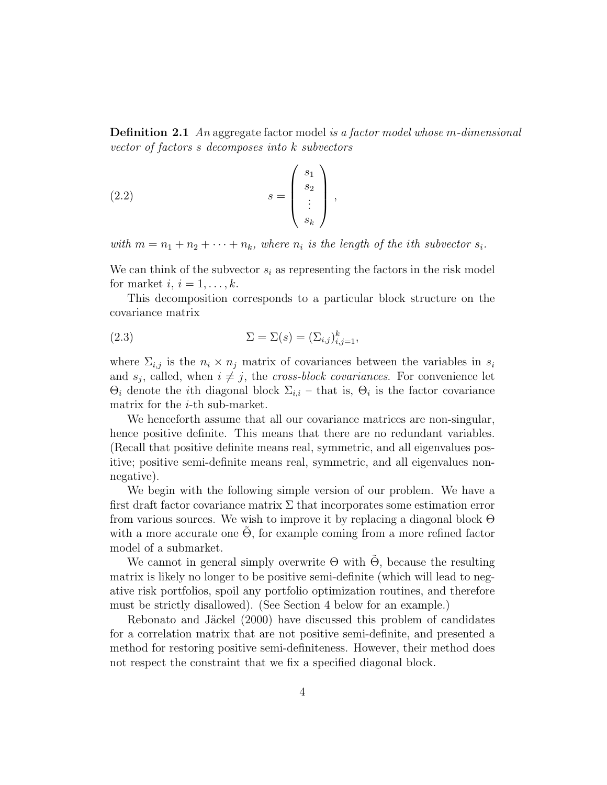**Definition 2.1** An aggregate factor model is a factor model whose m-dimensional vector of factors s decomposes into k subvectors

$$
(2.2) \t\t s = \begin{pmatrix} s_1 \\ s_2 \\ \vdots \\ s_k \end{pmatrix},
$$

with  $m = n_1 + n_2 + \cdots + n_k$ , where  $n_i$  is the length of the ith subvector  $s_i$ .

We can think of the subvector  $s_i$  as representing the factors in the risk model for market  $i, i = 1, \ldots, k$ .

This decomposition corresponds to a particular block structure on the covariance matrix

(2.3) 
$$
\Sigma = \Sigma(s) = (\Sigma_{i,j})_{i,j=1}^k,
$$

where  $\Sigma_{i,j}$  is the  $n_i \times n_j$  matrix of covariances between the variables in  $s_i$ and  $s_j$ , called, when  $i \neq j$ , the *cross-block covariances*. For convenience let  $\Theta_i$  denote the *i*th diagonal block  $\Sigma_{i,i}$  – that is,  $\Theta_i$  is the factor covariance matrix for the *i*-th sub-market.

We henceforth assume that all our covariance matrices are non-singular, hence positive definite. This means that there are no redundant variables. (Recall that positive definite means real, symmetric, and all eigenvalues positive; positive semi-definite means real, symmetric, and all eigenvalues nonnegative).

We begin with the following simple version of our problem. We have a first draft factor covariance matrix  $\Sigma$  that incorporates some estimation error from various sources. We wish to improve it by replacing a diagonal block Θ with a more accurate one  $\Theta$ , for example coming from a more refined factor model of a submarket.

We cannot in general simply overwrite  $\Theta$  with  $\Theta$ , because the resulting matrix is likely no longer to be positive semi-definite (which will lead to negative risk portfolios, spoil any portfolio optimization routines, and therefore must be strictly disallowed). (See Section 4 below for an example.)

Rebonato and Jäckel (2000) have discussed this problem of candidates for a correlation matrix that are not positive semi-definite, and presented a method for restoring positive semi-definiteness. However, their method does not respect the constraint that we fix a specified diagonal block.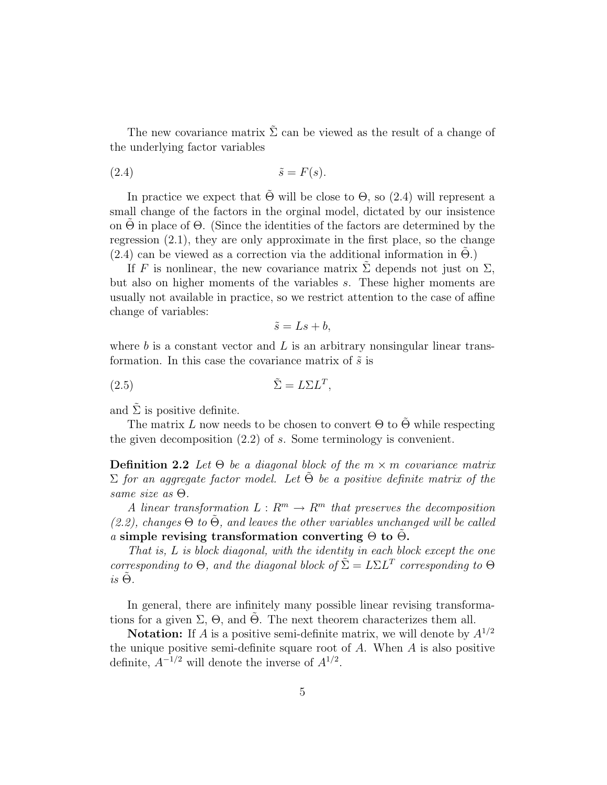The new covariance matrix  $\Sigma$  can be viewed as the result of a change of the underlying factor variables

(2.4) ˜s = F(s).

In practice we expect that  $\tilde{\Theta}$  will be close to  $\Theta$ , so (2.4) will represent a small change of the factors in the orginal model, dictated by our insistence on  $\Theta$  in place of  $\Theta$ . (Since the identities of the factors are determined by the regression (2.1), they are only approximate in the first place, so the change  $(2.4)$  can be viewed as a correction via the additional information in  $\Theta$ .)

If F is nonlinear, the new covariance matrix  $\Sigma$  depends not just on  $\Sigma$ , but also on higher moments of the variables s. These higher moments are usually not available in practice, so we restrict attention to the case of affine change of variables:

$$
\tilde{s} = Ls + b,
$$

where  $b$  is a constant vector and  $L$  is an arbitrary nonsingular linear transformation. In this case the covariance matrix of  $\tilde{s}$  is

(2.5)  $\tilde{\Sigma} = L\Sigma L^{T},$ 

and  $\Sigma$  is positive definite.

The matrix L now needs to be chosen to convert  $\Theta$  to  $\Theta$  while respecting the given decomposition (2.2) of s. Some terminology is convenient.

**Definition 2.2** Let  $\Theta$  be a diagonal block of the  $m \times m$  covariance matrix  $\Sigma$  for an aggregate factor model. Let  $\Theta$  be a positive definite matrix of the same size as Θ.

A linear transformation  $L: \mathbb{R}^m \to \mathbb{R}^m$  that preserves the decomposition  $(2.2)$ , changes  $\Theta$  to  $\Theta$ , and leaves the other variables unchanged will be called a simple revising transformation converting  $\Theta$  to  $\Theta$ .

That is, L is block diagonal, with the identity in each block except the one corresponding to  $\Theta$ , and the diagonal block of  $\tilde{\Sigma} = L\Sigma L^T$  corresponding to  $\Theta$  $is \Theta$ .

In general, there are infinitely many possible linear revising transformations for a given  $\Sigma$ ,  $\Theta$ , and  $\Theta$ . The next theorem characterizes them all.

**Notation:** If A is a positive semi-definite matrix, we will denote by  $A^{1/2}$ the unique positive semi-definite square root of  $A$ . When  $A$  is also positive definite,  $A^{-1/2}$  will denote the inverse of  $A^{1/2}$ .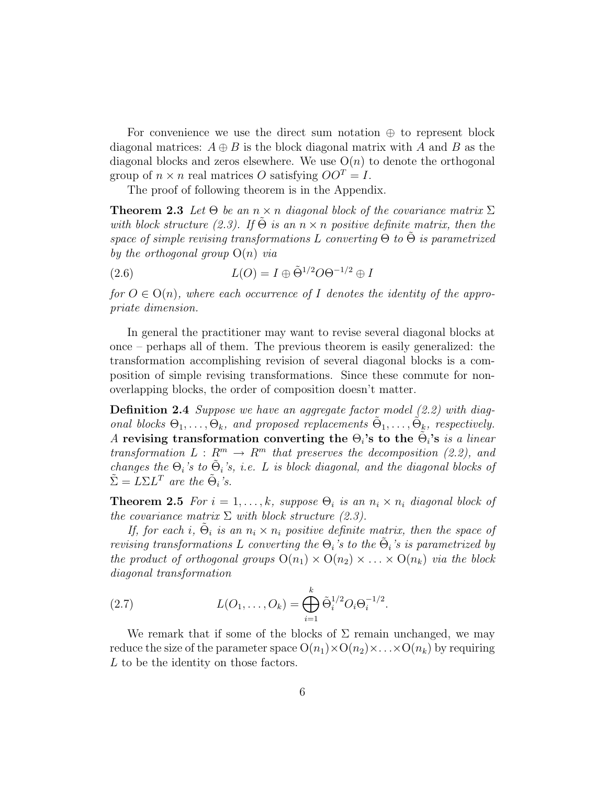For convenience we use the direct sum notation  $\oplus$  to represent block diagonal matrices:  $A \oplus B$  is the block diagonal matrix with A and B as the diagonal blocks and zeros elsewhere. We use  $O(n)$  to denote the orthogonal group of  $n \times n$  real matrices O satisfying  $OO<sup>T</sup> = I$ .

The proof of following theorem is in the Appendix.

**Theorem 2.3** Let  $\Theta$  be an  $n \times n$  diagonal block of the covariance matrix  $\Sigma$ with block structure (2.3). If  $\tilde{\Theta}$  is an  $n \times n$  positive definite matrix, then the space of simple revising transformations L converting  $\Theta$  to  $\Theta$  is parametrized by the orthogonal group  $O(n)$  via

(2.6) 
$$
L(O) = I \oplus \tilde{\Theta}^{1/2} O \Theta^{-1/2} \oplus I
$$

for  $O \in O(n)$ , where each occurrence of I denotes the identity of the appropriate dimension.

In general the practitioner may want to revise several diagonal blocks at once – perhaps all of them. The previous theorem is easily generalized: the transformation accomplishing revision of several diagonal blocks is a composition of simple revising transformations. Since these commute for nonoverlapping blocks, the order of composition doesn't matter.

**Definition 2.4** Suppose we have an aggregate factor model  $(2.2)$  with diagonal blocks  $\Theta_1, \ldots, \Theta_k$ , and proposed replacements  $\tilde{\Theta}_1, \ldots, \tilde{\Theta}_k$ , respectively. A revising transformation converting the  $\Theta_i$ 's to the  $\tilde{\Theta}_i$ 's is a linear transformation  $L: \mathbb{R}^m \to \mathbb{R}^m$  that preserves the decomposition (2.2), and changes the  $\Theta_i$ 's to  $\tilde{\Theta}_i$ 's, i.e. L is block diagonal, and the diagonal blocks of  $\tilde{\Sigma} = L\Sigma L^T$  are the  $\tilde{\Theta}_i$ 's.

**Theorem 2.5** For  $i = 1, ..., k$ , suppose  $\Theta_i$  is an  $n_i \times n_i$  diagonal block of the covariance matrix  $\Sigma$  with block structure (2.3).

If, for each i,  $\tilde{\Theta}_i$  is an  $n_i \times n_i$  positive definite matrix, then the space of revising transformations L converting the  $\Theta_i$ 's to the  $\tilde{\Theta}_i$ 's is parametrized by the product of orthogonal groups  $O(n_1) \times O(n_2) \times ... \times O(n_k)$  via the block diagonal transformation

(2.7) 
$$
L(O_1, ..., O_k) = \bigoplus_{i=1}^k \tilde{\Theta}_i^{1/2} O_i \Theta_i^{-1/2}.
$$

We remark that if some of the blocks of  $\Sigma$  remain unchanged, we may reduce the size of the parameter space  $O(n_1) \times O(n_2) \times ... \times O(n_k)$  by requiring L to be the identity on those factors.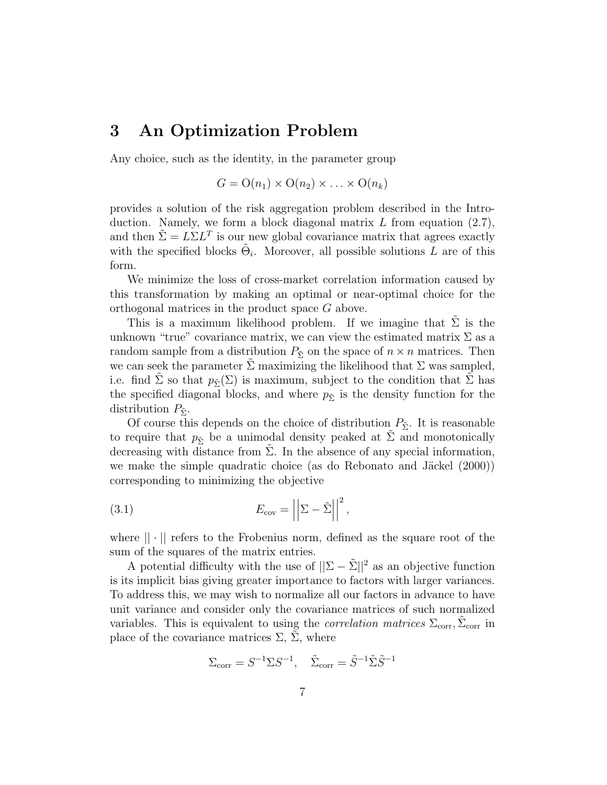## 3 An Optimization Problem

Any choice, such as the identity, in the parameter group

$$
G = O(n_1) \times O(n_2) \times \ldots \times O(n_k)
$$

provides a solution of the risk aggregation problem described in the Introduction. Namely, we form a block diagonal matrix  $L$  from equation  $(2.7)$ , and then  $\tilde{\Sigma} = L \Sigma L^T$  is our new global covariance matrix that agrees exactly with the specified blocks  $\tilde{\Theta}_i$ . Moreover, all possible solutions  $\tilde{L}$  are of this form.

We minimize the loss of cross-market correlation information caused by this transformation by making an optimal or near-optimal choice for the orthogonal matrices in the product space G above.

This is a maximum likelihood problem. If we imagine that  $\Sigma$  is the unknown "true" covariance matrix, we can view the estimated matrix  $\Sigma$  as a random sample from a distribution  $P_{\tilde{\Sigma}}$  on the space of  $n \times n$  matrices. Then we can seek the parameter  $\Sigma$  maximizing the likelihood that  $\Sigma$  was sampled, i.e. find  $\Sigma$  so that  $p_{\tilde{\Sigma}}(\Sigma)$  is maximum, subject to the condition that  $\Sigma$  has the specified diagonal blocks, and where  $p_{\tilde{\Sigma}}$  is the density function for the distribution  $P_{\tilde{\Sigma}}$ .

Of course this depends on the choice of distribution  $P_{\tilde{\Sigma}}$ . It is reasonable to require that  $p_{\tilde{\Sigma}}$  be a unimodal density peaked at  $\tilde{\Sigma}$  and monotonically decreasing with distance from  $\Sigma$ . In the absence of any special information, we make the simple quadratic choice (as do Rebonato and Jäckel  $(2000)$ ) corresponding to minimizing the objective

(3.1) 
$$
E_{\text{cov}} = \left| \left| \Sigma - \tilde{\Sigma} \right| \right|^2,
$$

where  $|| \cdot ||$  refers to the Frobenius norm, defined as the square root of the sum of the squares of the matrix entries.

A potential difficulty with the use of  $||\Sigma - \tilde{\Sigma}||^2$  as an objective function is its implicit bias giving greater importance to factors with larger variances. To address this, we may wish to normalize all our factors in advance to have unit variance and consider only the covariance matrices of such normalized variables. This is equivalent to using the *correlation matrices*  $\Sigma_{\text{corr}}$ ,  $\tilde{\Sigma}_{\text{corr}}$  in place of the covariance matrices  $\Sigma$ ,  $\Sigma$ , where

$$
\Sigma_{\text{corr}} = S^{-1} \Sigma S^{-1}, \quad \tilde{\Sigma}_{\text{corr}} = \tilde{S}^{-1} \tilde{\Sigma} \tilde{S}^{-1}
$$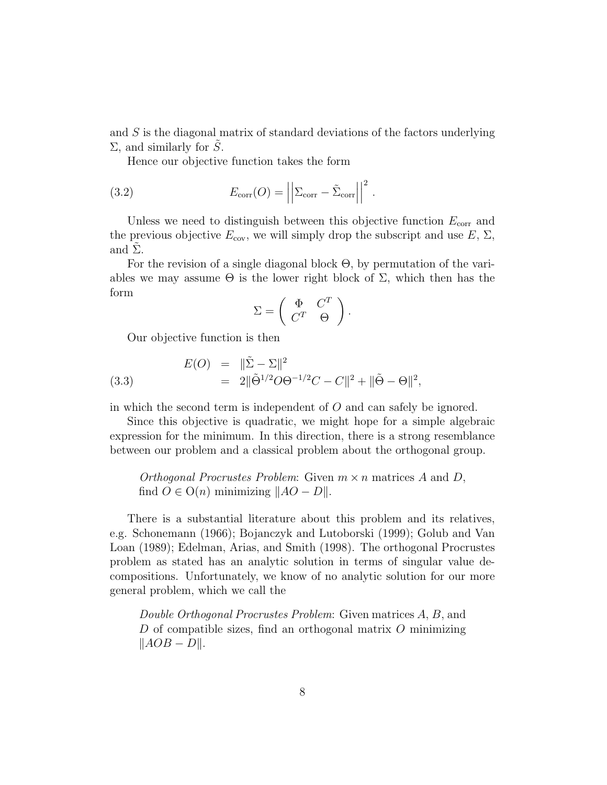and S is the diagonal matrix of standard deviations of the factors underlying  $\Sigma$ , and similarly for S.

Hence our objective function takes the form

(3.2) 
$$
E_{\text{corr}}(O) = \left| \left| \Sigma_{\text{corr}} - \tilde{\Sigma}_{\text{corr}} \right| \right|^2.
$$

Unless we need to distinguish between this objective function  $E_{\text{corr}}$  and the previous objective  $E_{\text{cov}}$ , we will simply drop the subscript and use  $E, \Sigma$ , and  $\Sigma$ .

For the revision of a single diagonal block Θ, by permutation of the variables we may assume  $\Theta$  is the lower right block of  $\Sigma$ , which then has the form

$$
\Sigma = \left( \begin{array}{cc} \Phi & C^T \\ C^T & \Theta \end{array} \right).
$$

Our objective function is then

(3.3) 
$$
E(O) = \|\tilde{\Sigma} - \Sigma\|^2 = 2\|\tilde{\Theta}^{1/2}O\Theta^{-1/2}C - C\|^2 + \|\tilde{\Theta} - \Theta\|^2,
$$

in which the second term is independent of O and can safely be ignored.

Since this objective is quadratic, we might hope for a simple algebraic expression for the minimum. In this direction, there is a strong resemblance between our problem and a classical problem about the orthogonal group.

Orthogonal Procrustes Problem: Given  $m \times n$  matrices A and D, find  $O \in O(n)$  minimizing  $||AO - D||$ .

There is a substantial literature about this problem and its relatives, e.g. Schonemann (1966); Bojanczyk and Lutoborski (1999); Golub and Van Loan (1989); Edelman, Arias, and Smith (1998). The orthogonal Procrustes problem as stated has an analytic solution in terms of singular value decompositions. Unfortunately, we know of no analytic solution for our more general problem, which we call the

Double Orthogonal Procrustes Problem: Given matrices A, B, and D of compatible sizes, find an orthogonal matrix  $O$  minimizing  $\|AOB - D\|.$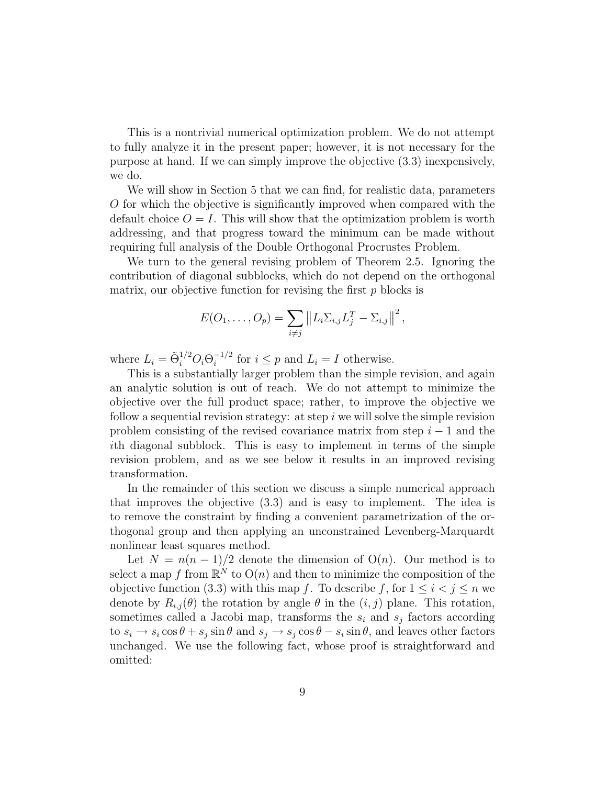This is a nontrivial numerical optimization problem. We do not attempt to fully analyze it in the present paper; however, it is not necessary for the purpose at hand. If we can simply improve the objective (3.3) inexpensively, we do.

We will show in Section 5 that we can find, for realistic data, parameters O for which the objective is significantly improved when compared with the default choice  $O = I$ . This will show that the optimization problem is worth addressing, and that progress toward the minimum can be made without requiring full analysis of the Double Orthogonal Procrustes Problem.

We turn to the general revising problem of Theorem 2.5. Ignoring the contribution of diagonal subblocks, which do not depend on the orthogonal matrix, our objective function for revising the first  $p$  blocks is

$$
E(O_1, ..., O_p) = \sum_{i \neq j} ||L_i \Sigma_{i,j} L_j^T - \Sigma_{i,j}||^2,
$$

where  $L_i = \tilde{\Theta}_i^{1/2} O_i \Theta_i^{-1/2}$  $i^{-1/2}$  for  $i \leq p$  and  $L_i = I$  otherwise.

This is a substantially larger problem than the simple revision, and again an analytic solution is out of reach. We do not attempt to minimize the objective over the full product space; rather, to improve the objective we follow a sequential revision strategy: at step  $i$  we will solve the simple revision problem consisting of the revised covariance matrix from step  $i - 1$  and the ith diagonal subblock. This is easy to implement in terms of the simple revision problem, and as we see below it results in an improved revising transformation.

In the remainder of this section we discuss a simple numerical approach that improves the objective (3.3) and is easy to implement. The idea is to remove the constraint by finding a convenient parametrization of the orthogonal group and then applying an unconstrained Levenberg-Marquardt nonlinear least squares method.

Let  $N = n(n-1)/2$  denote the dimension of  $O(n)$ . Our method is to select a map f from  $\mathbb{R}^N$  to  $O(n)$  and then to minimize the composition of the objective function (3.3) with this map f. To describe f, for  $1 \leq i < j \leq n$  we denote by  $R_{i,j}(\theta)$  the rotation by angle  $\theta$  in the  $(i, j)$  plane. This rotation, sometimes called a Jacobi map, transforms the  $s_i$  and  $s_j$  factors according to  $s_i \to s_i \cos \theta + s_j \sin \theta$  and  $s_j \to s_j \cos \theta - s_i \sin \theta$ , and leaves other factors unchanged. We use the following fact, whose proof is straightforward and omitted: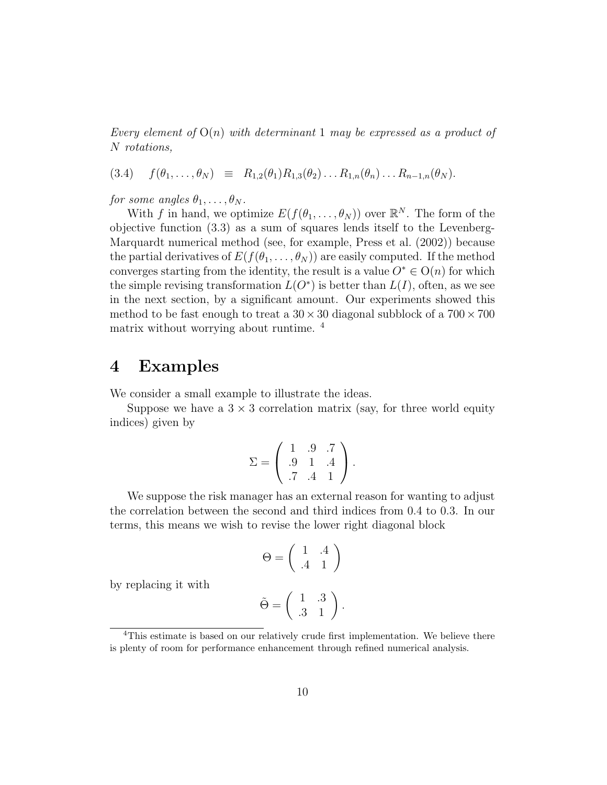Every element of  $O(n)$  with determinant 1 may be expressed as a product of N rotations,

$$
(3.4) \quad f(\theta_1,\ldots,\theta_N) \equiv R_{1,2}(\theta_1)R_{1,3}(\theta_2)\ldots R_{1,n}(\theta_n)\ldots R_{n-1,n}(\theta_N).
$$

for some angles  $\theta_1, \ldots, \theta_N$ .

With f in hand, we optimize  $E(f(\theta_1,\ldots,\theta_N))$  over  $\mathbb{R}^N$ . The form of the objective function (3.3) as a sum of squares lends itself to the Levenberg-Marquardt numerical method (see, for example, Press et al. (2002)) because the partial derivatives of  $E(f(\theta_1, \ldots, \theta_N))$  are easily computed. If the method converges starting from the identity, the result is a value  $O^* \in O(n)$  for which the simple revising transformation  $L(O^*)$  is better than  $L(I)$ , often, as we see in the next section, by a significant amount. Our experiments showed this method to be fast enough to treat a  $30 \times 30$  diagonal subblock of a  $700 \times 700$ matrix without worrying about runtime. <sup>4</sup>

# 4 Examples

We consider a small example to illustrate the ideas.

Suppose we have a  $3 \times 3$  correlation matrix (say, for three world equity indices) given by

$$
\Sigma = \left( \begin{array}{rrr} 1 & .9 & .7 \\ .9 & 1 & .4 \\ .7 & .4 & 1 \end{array} \right).
$$

We suppose the risk manager has an external reason for wanting to adjust the correlation between the second and third indices from 0.4 to 0.3. In our terms, this means we wish to revise the lower right diagonal block

$$
\Theta = \left( \begin{array}{cc} 1 & .4 \\ .4 & 1 \end{array} \right)
$$

by replacing it with

$$
\tilde{\Theta} = \left( \begin{array}{cc} 1 & .3 \\ .3 & 1 \end{array} \right).
$$

<sup>&</sup>lt;sup>4</sup>This estimate is based on our relatively crude first implementation. We believe there is plenty of room for performance enhancement through refined numerical analysis.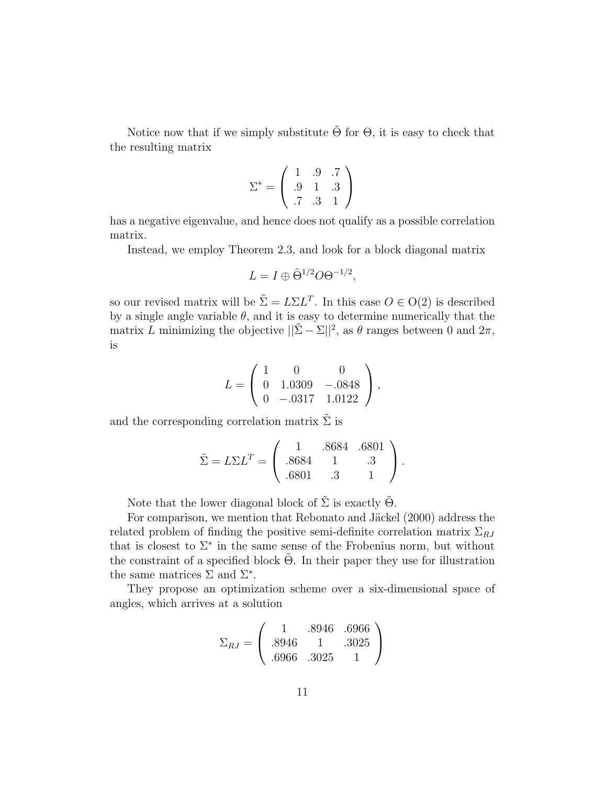Notice now that if we simply substitute  $\Theta$  for  $\Theta$ , it is easy to check that the resulting matrix

$$
\Sigma^* = \left(\begin{array}{ccc} 1 & .9 & .7 \\ .9 & 1 & .3 \\ .7 & .3 & 1 \end{array}\right)
$$

has a negative eigenvalue, and hence does not qualify as a possible correlation matrix.

Instead, we employ Theorem 2.3, and look for a block diagonal matrix

$$
L = I \oplus \tilde{\Theta}^{1/2} O \Theta^{-1/2},
$$

so our revised matrix will be  $\tilde{\Sigma} = L\Sigma L^{T}$ . In this case  $O \in O(2)$  is described by a single angle variable  $\theta$ , and it is easy to determine numerically that the matrix L minimizing the objective  $||\tilde{\Sigma} - \Sigma||^2$ , as  $\theta$  ranges between 0 and  $2\pi$ , is

$$
L = \left(\begin{array}{ccc} 1 & 0 & 0 \\ 0 & 1.0309 & -.0848 \\ 0 & -.0317 & 1.0122 \end{array}\right),
$$

and the corresponding correlation matrix  $\Sigma$  is

$$
\tilde{\Sigma} = L\Sigma L^{T} = \begin{pmatrix} 1 & .8684 & .6801 \\ .8684 & 1 & .3 \\ .6801 & .3 & 1 \end{pmatrix}.
$$

Note that the lower diagonal block of  $\tilde{\Sigma}$  is exactly  $\tilde{\Theta}$ .

For comparison, we mention that Rebonato and Jäckel (2000) address the related problem of finding the positive semi-definite correlation matrix  $\Sigma_{RJ}$ that is closest to  $\Sigma^*$  in the same sense of the Frobenius norm, but without the constraint of a specified block  $\Theta$ . In their paper they use for illustration the same matrices  $\Sigma$  and  $\Sigma^*$ .

They propose an optimization scheme over a six-dimensional space of angles, which arrives at a solution

$$
\Sigma_{RJ} = \left(\begin{array}{ccc} 1 & .8946 & .6966 \\ .8946 & 1 & .3025 \\ .6966 & .3025 & 1 \end{array}\right)
$$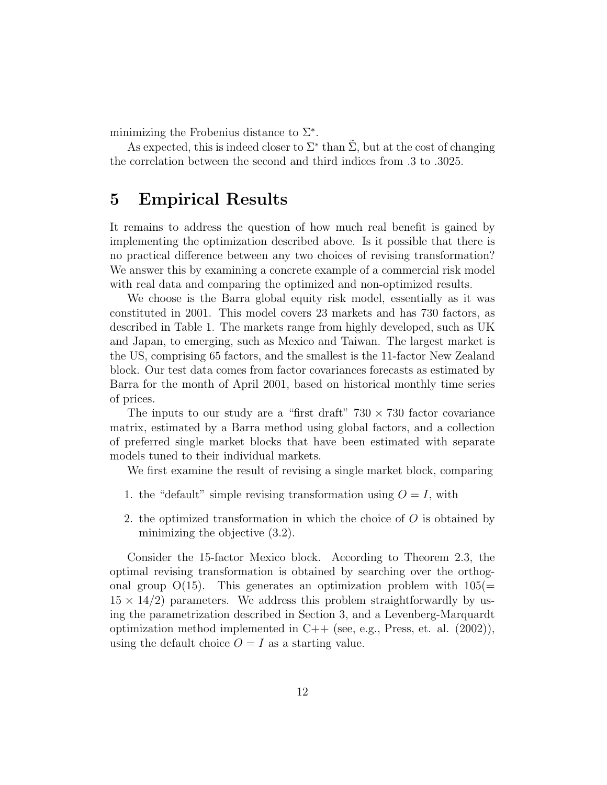minimizing the Frobenius distance to  $\Sigma^*$ .

As expected, this is indeed closer to  $\Sigma^*$  than  $\tilde{\Sigma}$ , but at the cost of changing the correlation between the second and third indices from .3 to .3025.

#### 5 Empirical Results

It remains to address the question of how much real benefit is gained by implementing the optimization described above. Is it possible that there is no practical difference between any two choices of revising transformation? We answer this by examining a concrete example of a commercial risk model with real data and comparing the optimized and non-optimized results.

We choose is the Barra global equity risk model, essentially as it was constituted in 2001. This model covers 23 markets and has 730 factors, as described in Table 1. The markets range from highly developed, such as UK and Japan, to emerging, such as Mexico and Taiwan. The largest market is the US, comprising 65 factors, and the smallest is the 11-factor New Zealand block. Our test data comes from factor covariances forecasts as estimated by Barra for the month of April 2001, based on historical monthly time series of prices.

The inputs to our study are a "first draft"  $730 \times 730$  factor covariance matrix, estimated by a Barra method using global factors, and a collection of preferred single market blocks that have been estimated with separate models tuned to their individual markets.

We first examine the result of revising a single market block, comparing

- 1. the "default" simple revising transformation using  $O = I$ , with
- 2. the optimized transformation in which the choice of  $O$  is obtained by minimizing the objective (3.2).

Consider the 15-factor Mexico block. According to Theorem 2.3, the optimal revising transformation is obtained by searching over the orthogonal group  $O(15)$ . This generates an optimization problem with  $105(=$  $15 \times 14/2$ ) parameters. We address this problem straightforwardly by using the parametrization described in Section 3, and a Levenberg-Marquardt optimization method implemented in  $C++$  (see, e.g., Press, et. al.  $(2002)$ ), using the default choice  $O = I$  as a starting value.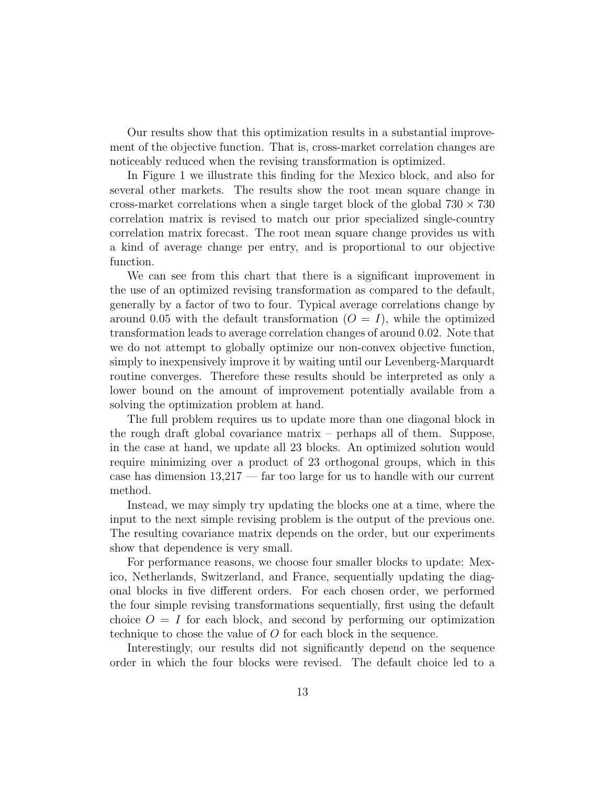Our results show that this optimization results in a substantial improvement of the objective function. That is, cross-market correlation changes are noticeably reduced when the revising transformation is optimized.

In Figure 1 we illustrate this finding for the Mexico block, and also for several other markets. The results show the root mean square change in cross-market correlations when a single target block of the global  $730 \times 730$ correlation matrix is revised to match our prior specialized single-country correlation matrix forecast. The root mean square change provides us with a kind of average change per entry, and is proportional to our objective function.

We can see from this chart that there is a significant improvement in the use of an optimized revising transformation as compared to the default, generally by a factor of two to four. Typical average correlations change by around 0.05 with the default transformation  $(O = I)$ , while the optimized transformation leads to average correlation changes of around 0.02. Note that we do not attempt to globally optimize our non-convex objective function, simply to inexpensively improve it by waiting until our Levenberg-Marquardt routine converges. Therefore these results should be interpreted as only a lower bound on the amount of improvement potentially available from a solving the optimization problem at hand.

The full problem requires us to update more than one diagonal block in the rough draft global covariance matrix – perhaps all of them. Suppose, in the case at hand, we update all 23 blocks. An optimized solution would require minimizing over a product of 23 orthogonal groups, which in this case has dimension 13,217 — far too large for us to handle with our current method.

Instead, we may simply try updating the blocks one at a time, where the input to the next simple revising problem is the output of the previous one. The resulting covariance matrix depends on the order, but our experiments show that dependence is very small.

For performance reasons, we choose four smaller blocks to update: Mexico, Netherlands, Switzerland, and France, sequentially updating the diagonal blocks in five different orders. For each chosen order, we performed the four simple revising transformations sequentially, first using the default choice  $O = I$  for each block, and second by performing our optimization technique to chose the value of O for each block in the sequence.

Interestingly, our results did not significantly depend on the sequence order in which the four blocks were revised. The default choice led to a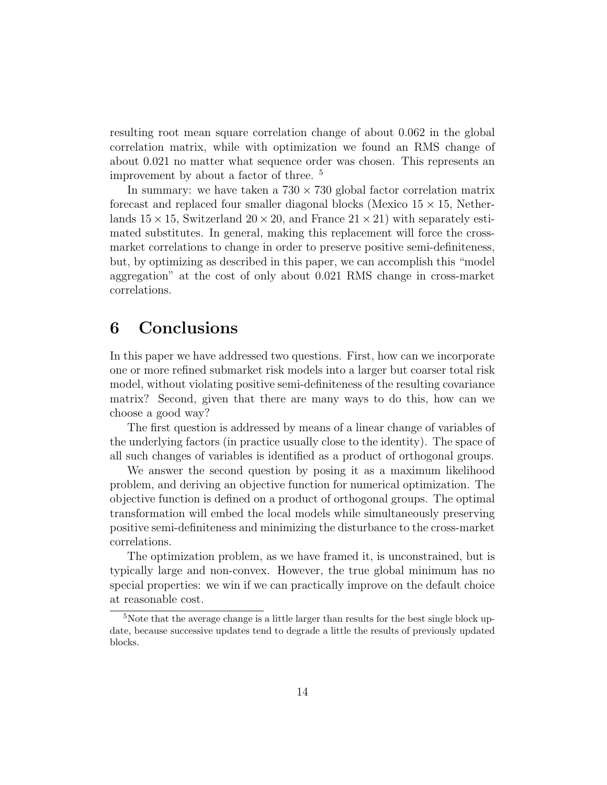resulting root mean square correlation change of about 0.062 in the global correlation matrix, while with optimization we found an RMS change of about 0.021 no matter what sequence order was chosen. This represents an improvement by about a factor of three. <sup>5</sup>

In summary: we have taken a  $730 \times 730$  global factor correlation matrix forecast and replaced four smaller diagonal blocks (Mexico  $15 \times 15$ , Netherlands  $15 \times 15$ , Switzerland  $20 \times 20$ , and France  $21 \times 21$ ) with separately estimated substitutes. In general, making this replacement will force the crossmarket correlations to change in order to preserve positive semi-definiteness, but, by optimizing as described in this paper, we can accomplish this "model aggregation" at the cost of only about 0.021 RMS change in cross-market correlations.

## 6 Conclusions

In this paper we have addressed two questions. First, how can we incorporate one or more refined submarket risk models into a larger but coarser total risk model, without violating positive semi-definiteness of the resulting covariance matrix? Second, given that there are many ways to do this, how can we choose a good way?

The first question is addressed by means of a linear change of variables of the underlying factors (in practice usually close to the identity). The space of all such changes of variables is identified as a product of orthogonal groups.

We answer the second question by posing it as a maximum likelihood problem, and deriving an objective function for numerical optimization. The objective function is defined on a product of orthogonal groups. The optimal transformation will embed the local models while simultaneously preserving positive semi-definiteness and minimizing the disturbance to the cross-market correlations.

The optimization problem, as we have framed it, is unconstrained, but is typically large and non-convex. However, the true global minimum has no special properties: we win if we can practically improve on the default choice at reasonable cost.

<sup>&</sup>lt;sup>5</sup>Note that the average change is a little larger than results for the best single block update, because successive updates tend to degrade a little the results of previously updated blocks.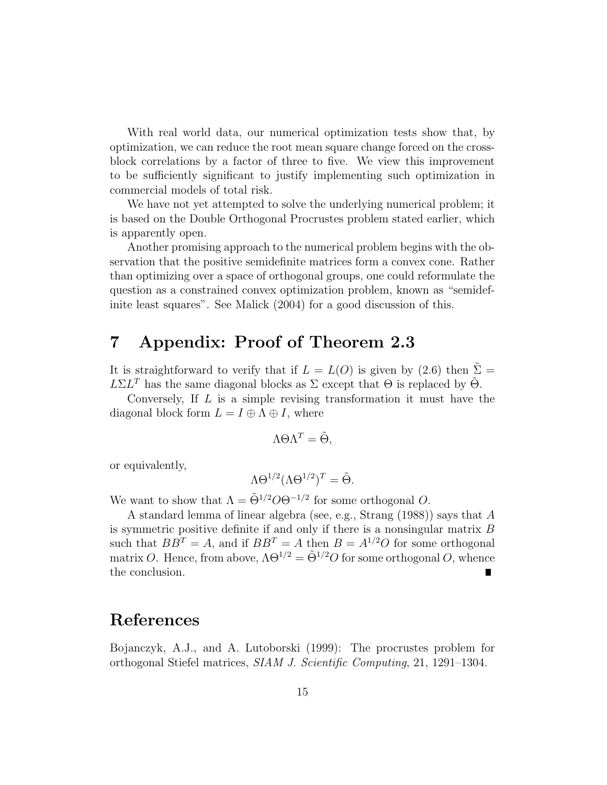With real world data, our numerical optimization tests show that, by optimization, we can reduce the root mean square change forced on the crossblock correlations by a factor of three to five. We view this improvement to be sufficiently significant to justify implementing such optimization in commercial models of total risk.

We have not yet attempted to solve the underlying numerical problem; it is based on the Double Orthogonal Procrustes problem stated earlier, which is apparently open.

Another promising approach to the numerical problem begins with the observation that the positive semidefinite matrices form a convex cone. Rather than optimizing over a space of orthogonal groups, one could reformulate the question as a constrained convex optimization problem, known as "semidefinite least squares". See Malick (2004) for a good discussion of this.

# 7 Appendix: Proof of Theorem 2.3

It is straightforward to verify that if  $L = L(O)$  is given by (2.6) then  $\Sigma =$  $L\Sigma L^T$  has the same diagonal blocks as  $\Sigma$  except that  $\Theta$  is replaced by  $\tilde{\Theta}$ .

Conversely, If L is a simple revising transformation it must have the diagonal block form  $L = I \oplus \Lambda \oplus I$ , where

$$
\Lambda \Theta \Lambda^T = \tilde{\Theta},
$$

or equivalently,

$$
\Lambda \Theta^{1/2} (\Lambda \Theta^{1/2})^T = \tilde{\Theta}.
$$

We want to show that  $\Lambda = \tilde{\Theta}^{1/2} O \Theta^{-1/2}$  for some orthogonal O.

A standard lemma of linear algebra (see, e.g., Strang (1988)) says that A is symmetric positive definite if and only if there is a nonsingular matrix B such that  $BB^T = A$ , and if  $BB^T = A$  then  $B = A^{1/2}O$  for some orthogonal matrix O. Hence, from above,  $\Lambda \Theta^{1/2} = \tilde{\Theta}^{1/2} O$  for some orthogonal O, whence the conclusion.

#### References

Bojanczyk, A.J., and A. Lutoborski (1999): The procrustes problem for orthogonal Stiefel matrices, SIAM J. Scientific Computing, 21, 1291–1304.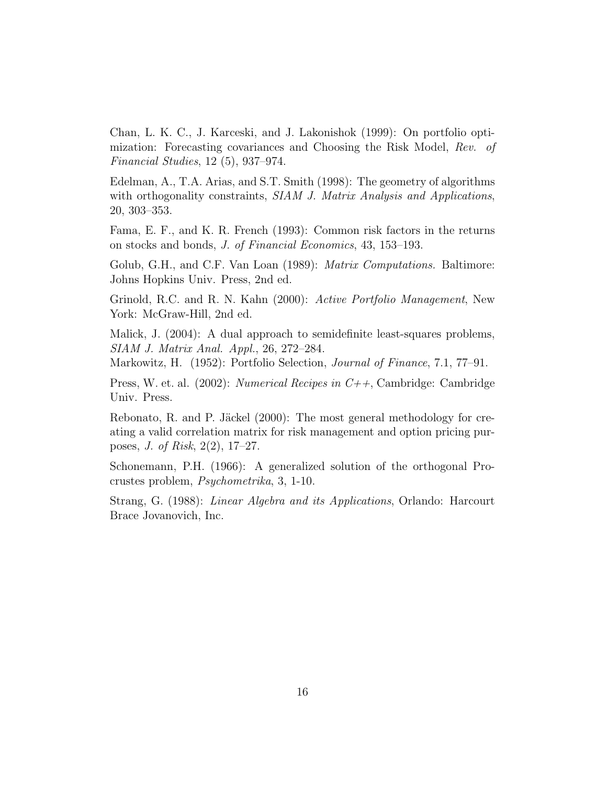Chan, L. K. C., J. Karceski, and J. Lakonishok (1999): On portfolio optimization: Forecasting covariances and Choosing the Risk Model, Rev. of Financial Studies, 12 (5), 937–974.

Edelman, A., T.A. Arias, and S.T. Smith (1998): The geometry of algorithms with orthogonality constraints, SIAM J. Matrix Analysis and Applications, 20, 303–353.

Fama, E. F., and K. R. French (1993): Common risk factors in the returns on stocks and bonds, J. of Financial Economics, 43, 153–193.

Golub, G.H., and C.F. Van Loan (1989): *Matrix Computations*. Baltimore: Johns Hopkins Univ. Press, 2nd ed.

Grinold, R.C. and R. N. Kahn (2000): Active Portfolio Management, New York: McGraw-Hill, 2nd ed.

Malick, J. (2004): A dual approach to semidefinite least-squares problems, SIAM J. Matrix Anal. Appl., 26, 272–284.

Markowitz, H. (1952): Portfolio Selection, Journal of Finance, 7.1, 77–91.

Press, W. et. al. (2002): *Numerical Recipes in*  $C++$ , Cambridge: Cambridge Univ. Press.

Rebonato, R. and P. Jäckel  $(2000)$ : The most general methodology for creating a valid correlation matrix for risk management and option pricing purposes, J. of Risk, 2(2), 17–27.

Schonemann, P.H. (1966): A generalized solution of the orthogonal Procrustes problem, Psychometrika, 3, 1-10.

Strang, G. (1988): Linear Algebra and its Applications, Orlando: Harcourt Brace Jovanovich, Inc.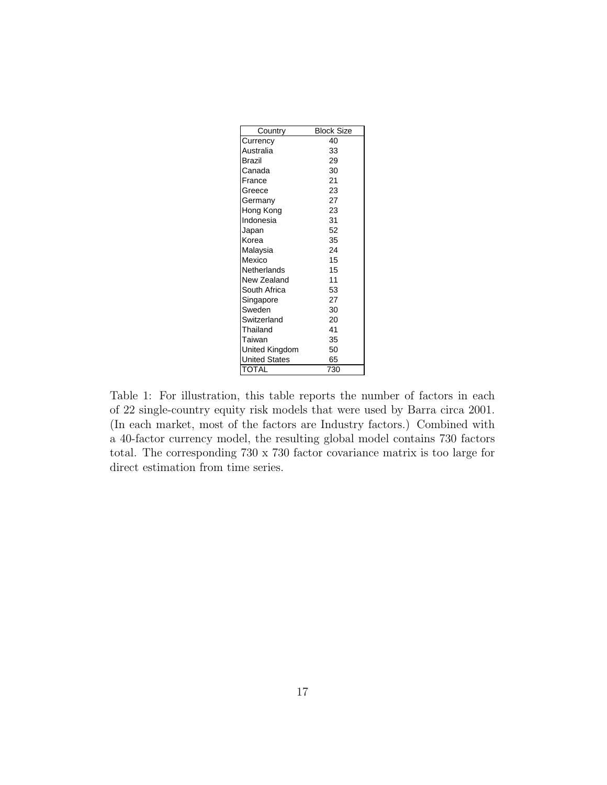| Country               | <b>Block Size</b> |
|-----------------------|-------------------|
| Currency              | 40                |
| Australia             | 33                |
| Brazil                | 29                |
| Canada                | 30                |
| France                | 21                |
| Greece                | 23                |
| Germany               | 27                |
| Hong Kong             | 23                |
| Indonesia             | 31                |
| Japan                 | 52                |
| Korea                 | 35                |
| Malaysia              | 24                |
| Mexico                | 15                |
| Netherlands           | 15                |
| New Zealand           | 11                |
| South Africa          | 53                |
| Singapore             | 27                |
| Sweden                | 30                |
| Switzerland           | 20                |
| Thailand              | 41                |
| Taiwan                | 35                |
| <b>United Kingdom</b> | 50                |
| <b>United States</b>  | 65                |
| <b>TOTAL</b>          | 730               |

Table 1: For illustration, this table reports the number of factors in each of 22 single-country equity risk models that were used by Barra circa 2001. (In each market, most of the factors are Industry factors.) Combined with a 40-factor currency model, the resulting global model contains 730 factors total. The corresponding 730 x 730 factor covariance matrix is too large for direct estimation from time series.